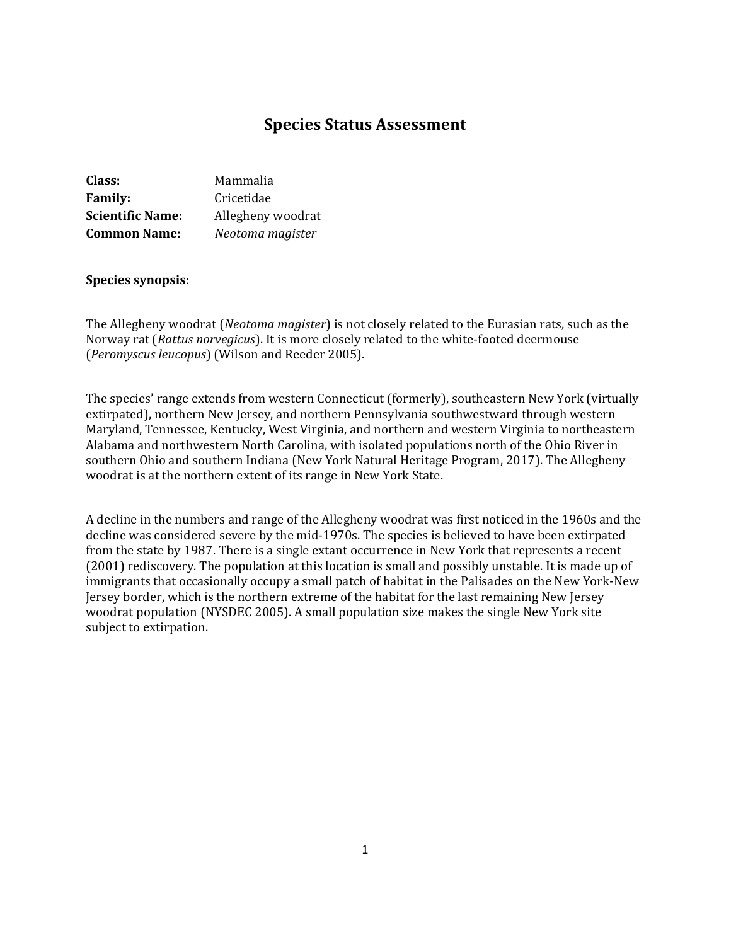# **Species Status Assessment**

| Class:                  | Mammalia          |
|-------------------------|-------------------|
| <b>Family:</b>          | Cricetidae        |
| <b>Scientific Name:</b> | Allegheny woodrat |
| <b>Common Name:</b>     | Neotoma magister  |

#### **Species synopsis**:

The Allegheny woodrat (*Neotoma magister*) is not closely related to the Eurasian rats, such as the Norway rat (*Rattus norvegicus*). It is more closely related to the white-footed deermouse (*Peromyscus leucopus*) (Wilson and Reeder 2005).

The species' range extends from western Connecticut (formerly), southeastern New York (virtually extirpated), northern New Jersey, and northern Pennsylvania southwestward through western Maryland, Tennessee, Kentucky, West Virginia, and northern and western Virginia to northeastern Alabama and northwestern North Carolina, with isolated populations north of the Ohio River in southern Ohio and southern Indiana (New York Natural Heritage Program, 2017). The Allegheny woodrat is at the northern extent of its range in New York State.

A decline in the numbers and range of the Allegheny woodrat was first noticed in the 1960s and the decline was considered severe by the mid-1970s. The species is believed to have been extirpated from the state by 1987. There is a single extant occurrence in New York that represents a recent (2001) rediscovery. The population at this location is small and possibly unstable. It is made up of immigrants that occasionally occupy a small patch of habitat in the Palisades on the New York-New Jersey border, which is the northern extreme of the habitat for the last remaining New Jersey woodrat population (NYSDEC 2005). A small population size makes the single New York site subject to extirpation.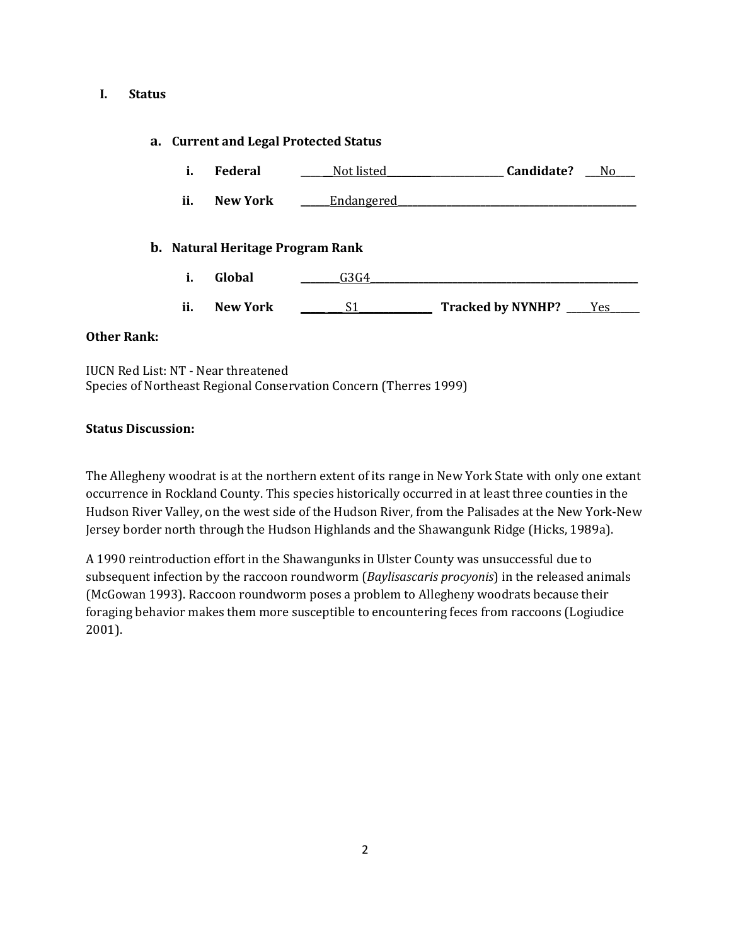### **I. Status**

## **a. Current and Legal Protected Status**

| <b>Federal</b> | Not listed | Candidate? |  |
|----------------|------------|------------|--|
|                |            |            |  |

**ii. New York \_\_\_\_\_\_**Endangered**\_\_\_\_\_\_\_\_\_\_\_\_\_\_\_\_\_\_\_\_\_\_\_\_\_\_\_\_\_\_\_\_\_\_\_\_\_\_\_\_\_\_\_\_\_\_\_\_\_**

### **b. Natural Heritage Program Rank**

- **i. Global \_\_\_\_\_\_\_\_**G3G4**\_\_\_\_\_\_\_\_\_\_\_\_\_\_\_\_\_\_\_\_\_\_\_\_\_\_\_\_\_\_\_\_\_\_\_\_\_\_\_\_\_\_\_\_\_\_\_\_\_\_\_\_\_\_\_**
- **ii. New York \_\_\_\_\_ \_\_\_** S1**\_\_\_\_\_\_\_\_\_\_\_\_\_\_\_ Tracked by NYNHP? \_\_\_\_\_**Yes**\_\_\_\_\_\_**

### **Other Rank:**

IUCN Red List: NT - Near threatened Species of Northeast Regional Conservation Concern (Therres 1999)

### **Status Discussion:**

The Allegheny woodrat is at the northern extent of its range in New York State with only one extant occurrence in Rockland County. This species historically occurred in at least three counties in the Hudson River Valley, on the west side of the Hudson River, from the Palisades at the New York-New Jersey border north through the Hudson Highlands and the Shawangunk Ridge (Hicks, 1989a).

A 1990 reintroduction effort in the Shawangunks in Ulster County was unsuccessful due to subsequent infection by the raccoon roundworm (*Baylisascaris procyonis*) in the released animals (McGowan 1993). Raccoon roundworm poses a problem to Allegheny woodrats because their foraging behavior makes them more susceptible to encountering feces from raccoons (Logiudice 2001).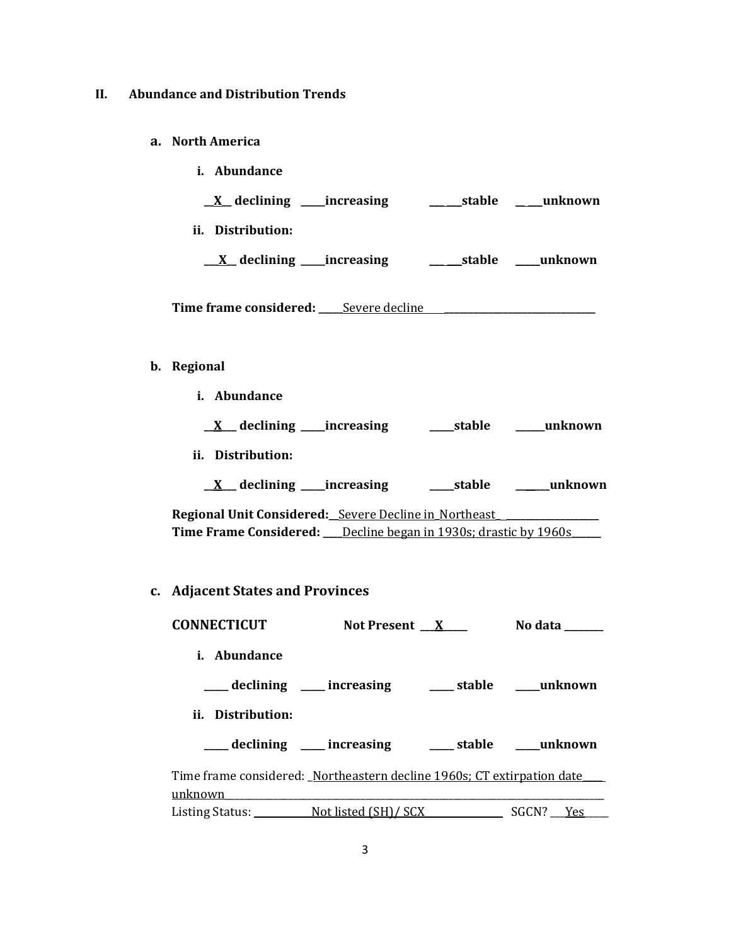#### **II. Abundance and Distribution Trends**

- **a. North America**
	- **i. Abundance \_\_X\_\_ declining \_\_\_\_\_increasing** \_\_\_ \_\_\_**stable** \_\_ \_\_\_**unknown ii. Distribution: \_\_\_X\_\_ declining \_\_\_\_\_increasing** \_\_\_ **\_\_\_stable** \_\_\_\_\_**unknown** Time frame considered: <u>Severe decline [10]</u>
- **b. Regional** 
	- **i. Abundance**

|  |  | declining ____increasing_ | _stable | unknown |
|--|--|---------------------------|---------|---------|
|--|--|---------------------------|---------|---------|

- **ii. Distribution:**
	- **\_\_X\_\_\_ declining \_\_\_\_\_increasing \_\_\_\_\_stable \_\_\_\_\_\_\_unknown**

**Regional Unit Considered:\_\_**Severe Decline in**\_**Northeast**\_ \_\_\_\_\_\_\_\_\_\_\_\_\_\_\_\_\_\_\_ Time Frame Considered: \_\_\_\_**Decline began in 1930s; drastic by 1960s**\_\_\_\_\_\_**

**c. Adjacent States and Provinces**

| <b>CONNECTICUT</b>                                                                | Not Present X                                       | No data                     |
|-----------------------------------------------------------------------------------|-----------------------------------------------------|-----------------------------|
| <i>i.</i> Abundance                                                               |                                                     |                             |
|                                                                                   | ____ declining ____ increasing                      | _____ stable _______unknown |
| ii. Distribution:                                                                 |                                                     |                             |
|                                                                                   | declining ____ increasing _____ stable ____ unknown |                             |
| Time frame considered: Northeastern decline 1960s; CT extirpation date<br>unknown |                                                     |                             |
| Listing Status: Not listed (SH)/SCX                                               |                                                     | SGCN? Yes                   |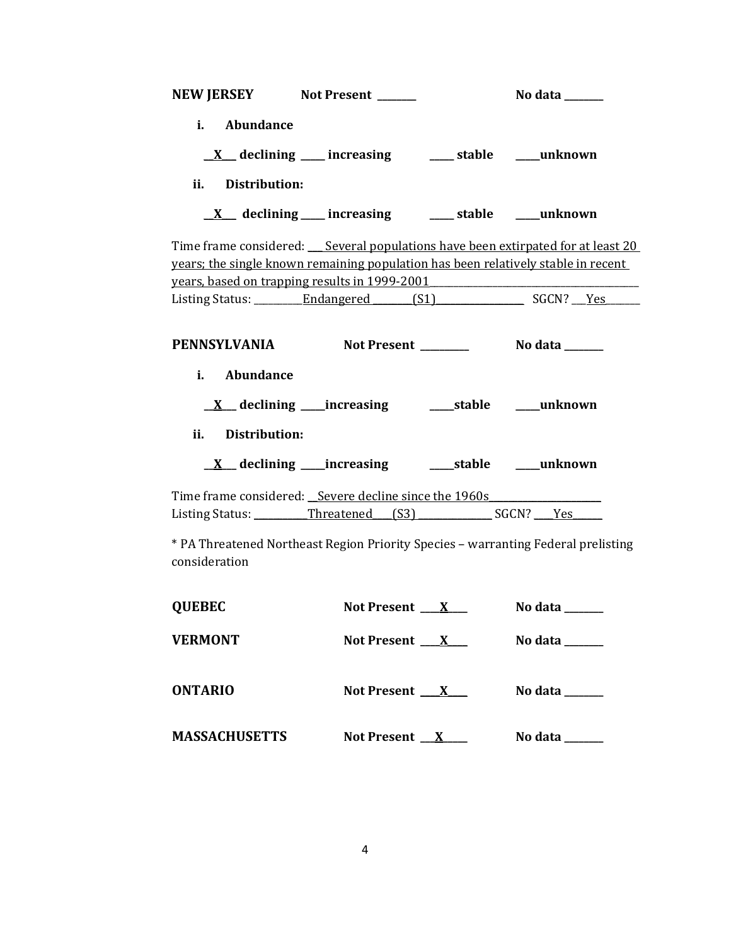| NEW JERSEY Not Present ______                                                                                                      |                                                                 | No data ______                                                                                  |
|------------------------------------------------------------------------------------------------------------------------------------|-----------------------------------------------------------------|-------------------------------------------------------------------------------------------------|
| i. Abundance                                                                                                                       |                                                                 |                                                                                                 |
|                                                                                                                                    | $\underline{X}$ declining ___ increasing ___ stable ___ unknown |                                                                                                 |
| ii. Distribution:                                                                                                                  |                                                                 |                                                                                                 |
|                                                                                                                                    | <u>X</u> declining increasing _____ stable _____ unknown        |                                                                                                 |
| years; the single known remaining population has been relatively stable in recent<br>years, based on trapping results in 1999-2001 |                                                                 | Time frame considered: Several populations have been extirpated for at least 20                 |
|                                                                                                                                    |                                                                 | Listing Status: __________Endangered _______(S1) ________________________________ SGCN? ____Yes |
| i. Abundance                                                                                                                       |                                                                 |                                                                                                 |
|                                                                                                                                    |                                                                 |                                                                                                 |
| <b>Distribution:</b><br>ii.                                                                                                        |                                                                 |                                                                                                 |
|                                                                                                                                    |                                                                 |                                                                                                 |
| Time frame considered: Severe decline since the 1960s<br>Listing Status: Threatened (S3) SGCN? Yes                                 |                                                                 |                                                                                                 |
| * PA Threatened Northeast Region Priority Species - warranting Federal prelisting<br>consideration                                 |                                                                 |                                                                                                 |
| <b>QUEBEC</b>                                                                                                                      | Not Present $X_{-}$                                             | No data ______                                                                                  |
| <b>VERMONT</b>                                                                                                                     | Not Present $X$                                                 | No data ______                                                                                  |

| <b>ONTARIO</b>       | <b>Not Present</b> | No data |
|----------------------|--------------------|---------|
| <b>MASSACHUSETTS</b> | Not Present $X$    | No data |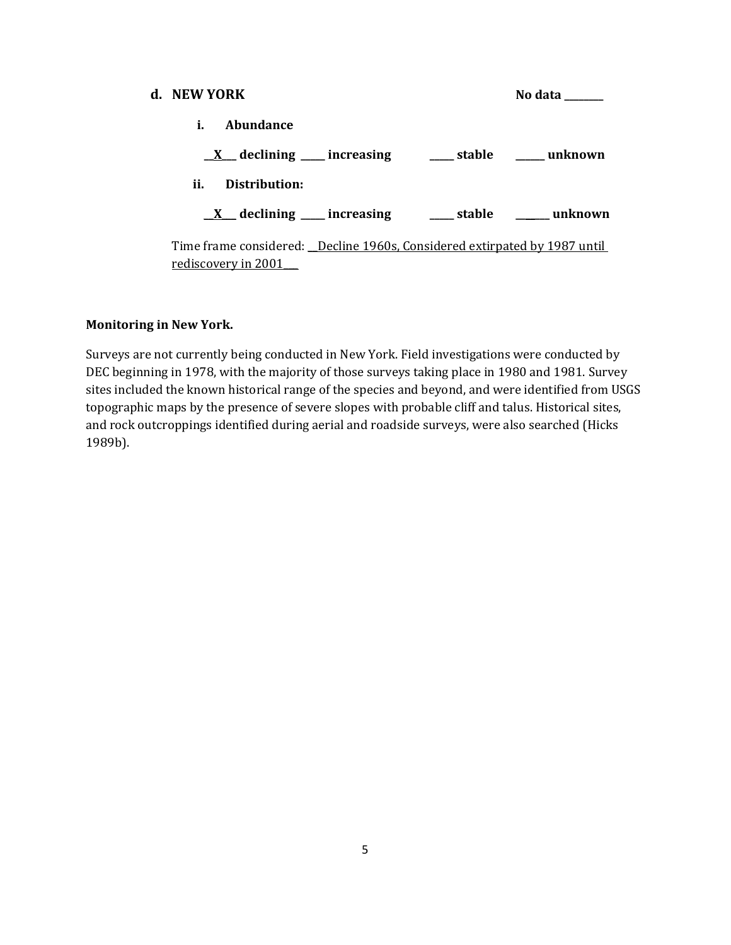| d. NEW YORK                                                                                      | No data |
|--------------------------------------------------------------------------------------------------|---------|
| Abundance<br>i.                                                                                  |         |
| $\underline{X}$ declining ___ increasing ____ stable ____ unknown                                |         |
| ii.<br>Distribution:                                                                             |         |
| $X$ declining increasing $X$ stable $X$ unknown                                                  |         |
| Time frame considered: Decline 1960s, Considered extirpated by 1987 until<br>rediscovery in 2001 |         |

## **Monitoring in New York.**

Surveys are not currently being conducted in New York. Field investigations were conducted by DEC beginning in 1978, with the majority of those surveys taking place in 1980 and 1981. Survey sites included the known historical range of the species and beyond, and were identified from USGS topographic maps by the presence of severe slopes with probable cliff and talus. Historical sites, and rock outcroppings identified during aerial and roadside surveys, were also searched (Hicks 1989b).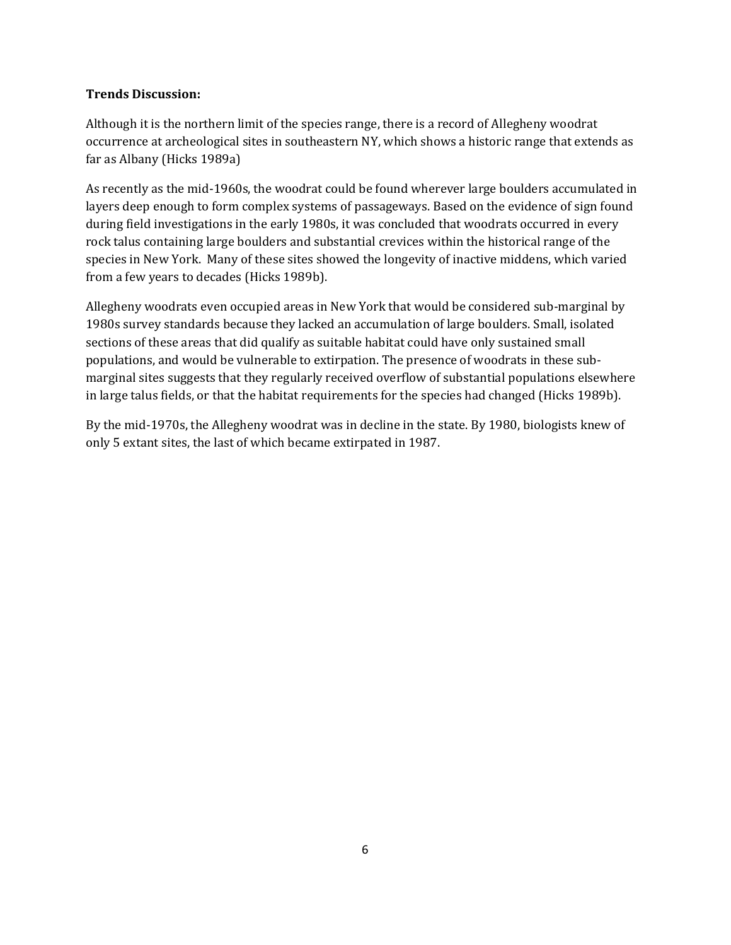## **Trends Discussion:**

Although it is the northern limit of the species range, there is a record of Allegheny woodrat occurrence at archeological sites in southeastern NY, which shows a historic range that extends as far as Albany (Hicks 1989a)

As recently as the mid-1960s, the woodrat could be found wherever large boulders accumulated in layers deep enough to form complex systems of passageways. Based on the evidence of sign found during field investigations in the early 1980s, it was concluded that woodrats occurred in every rock talus containing large boulders and substantial crevices within the historical range of the species in New York. Many of these sites showed the longevity of inactive middens, which varied from a few years to decades (Hicks 1989b).

Allegheny woodrats even occupied areas in New York that would be considered sub-marginal by 1980s survey standards because they lacked an accumulation of large boulders. Small, isolated sections of these areas that did qualify as suitable habitat could have only sustained small populations, and would be vulnerable to extirpation. The presence of woodrats in these submarginal sites suggests that they regularly received overflow of substantial populations elsewhere in large talus fields, or that the habitat requirements for the species had changed (Hicks 1989b).

By the mid-1970s, the Allegheny woodrat was in decline in the state. By 1980, biologists knew of only 5 extant sites, the last of which became extirpated in 1987.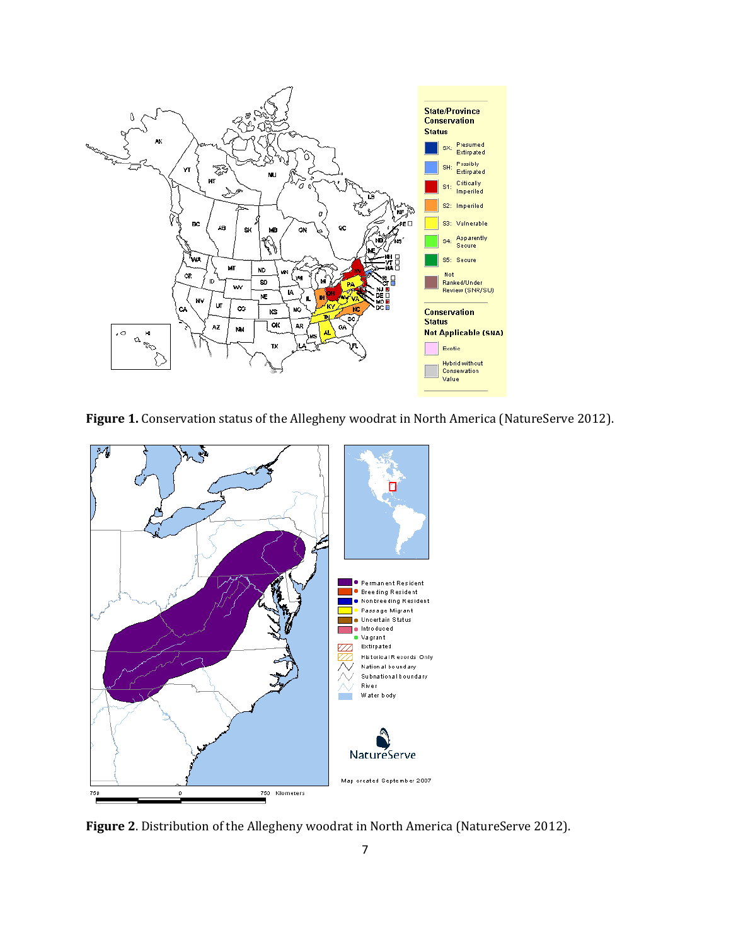

Figure 1. Conservation status of the Allegheny woodrat in North America (NatureServe 2012).



**Figure 2**. Distribution of the Allegheny woodrat in North America (NatureServe 2012).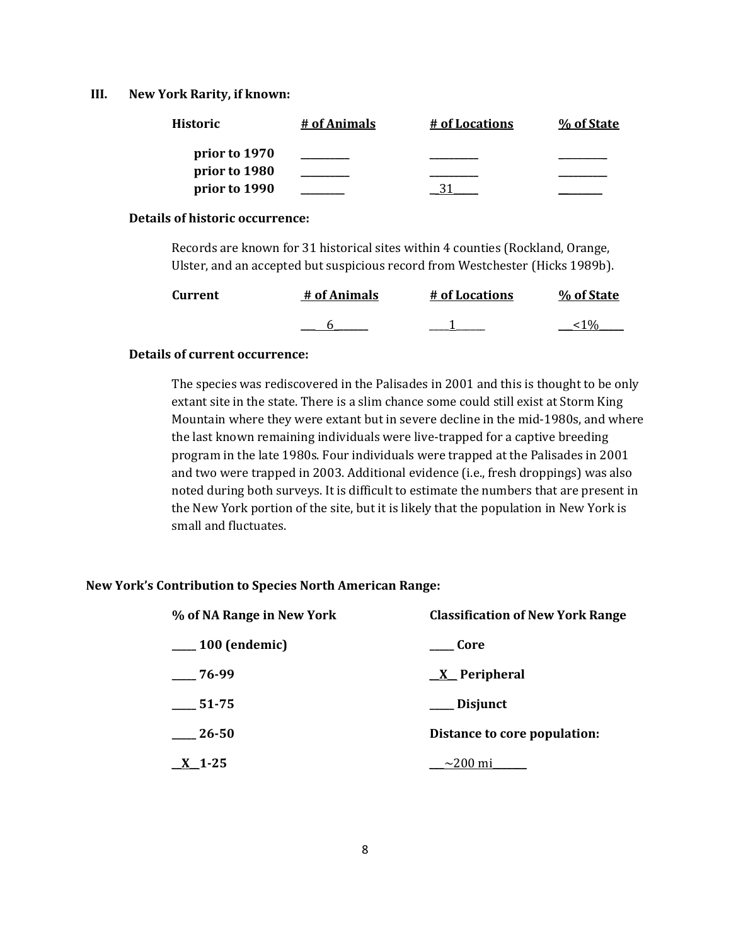#### **III. New York Rarity, if known:**

| <b>Historic</b> | # of Animals | # of Locations | % of State |
|-----------------|--------------|----------------|------------|
| prior to 1970   |              |                |            |
| prior to 1980   |              |                |            |
| prior to 1990   |              |                |            |

#### **Details of historic occurrence:**

Records are known for 31 historical sites within 4 counties (Rockland, Orange, Ulster, and an accepted but suspicious record from Westchester (Hicks 1989b).

| <b>Current</b> | # of Animals | # of Locations | % of State |
|----------------|--------------|----------------|------------|
|                |              |                |            |

## **Details of current occurrence:**

The species was rediscovered in the Palisades in 2001 and this is thought to be only extant site in the state. There is a slim chance some could still exist at Storm King Mountain where they were extant but in severe decline in the mid-1980s, and where the last known remaining individuals were live-trapped for a captive breeding program in the late 1980s. Four individuals were trapped at the Palisades in 2001 and two were trapped in 2003. Additional evidence (i.e., fresh droppings) was also noted during both surveys. It is difficult to estimate the numbers that are present in the New York portion of the site, but it is likely that the population in New York is small and fluctuates.

### **New York's Contribution to Species North American Range:**

| % of NA Range in New York | <b>Classification of New York Range</b> |
|---------------------------|-----------------------------------------|
| $\frac{100}{2}$ (endemic) | <b>Core</b>                             |
| $-76-99$                  | <u>X</u> Peripheral                     |
| 51-75                     | ___ Disjunct                            |
| 26-50                     | Distance to core population:            |
| <u>X</u> 1-25             | $\sim$ 200 mi                           |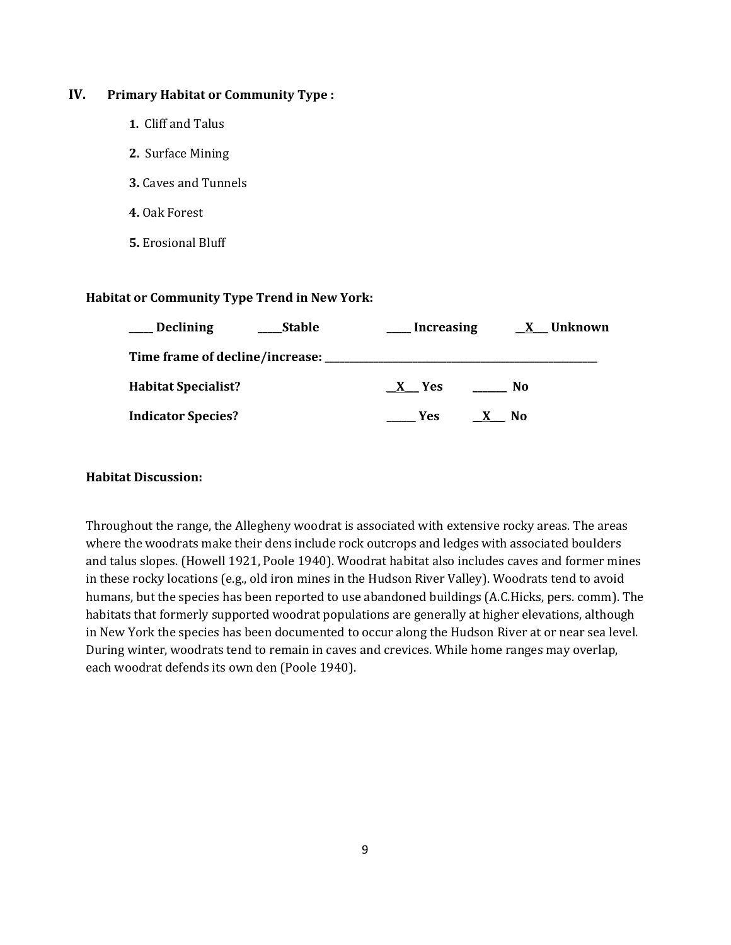## **IV. Primary Habitat or Community Type :**

- **1.** Cliff and Talus
- **2.** Surface Mining
- **3.** Caves and Tunnels
- **4.** Oak Forest
- **5.** Erosional Bluff

#### **Habitat or Community Type Trend in New York:**

| <b>Declining</b>           | <b>Stable</b> | Increasing | <u>X</u> Unknown |
|----------------------------|---------------|------------|------------------|
|                            |               |            |                  |
| <b>Habitat Specialist?</b> |               | X Yes      | No               |
| <b>Indicator Species?</b>  |               | Yes        | N <sub>0</sub>   |

#### **Habitat Discussion:**

Throughout the range, the Allegheny woodrat is associated with extensive rocky areas. The areas where the woodrats make their dens include rock outcrops and ledges with associated boulders and talus slopes. (Howell 1921, Poole 1940). Woodrat habitat also includes caves and former mines in these rocky locations (e.g., old iron mines in the Hudson River Valley). Woodrats tend to avoid humans, but the species has been reported to use abandoned buildings (A.C.Hicks, pers. comm). The habitats that formerly supported woodrat populations are generally at higher elevations, although in New York the species has been documented to occur along the Hudson River at or near sea level. During winter, woodrats tend to remain in caves and crevices. While home ranges may overlap, each woodrat defends its own den (Poole 1940).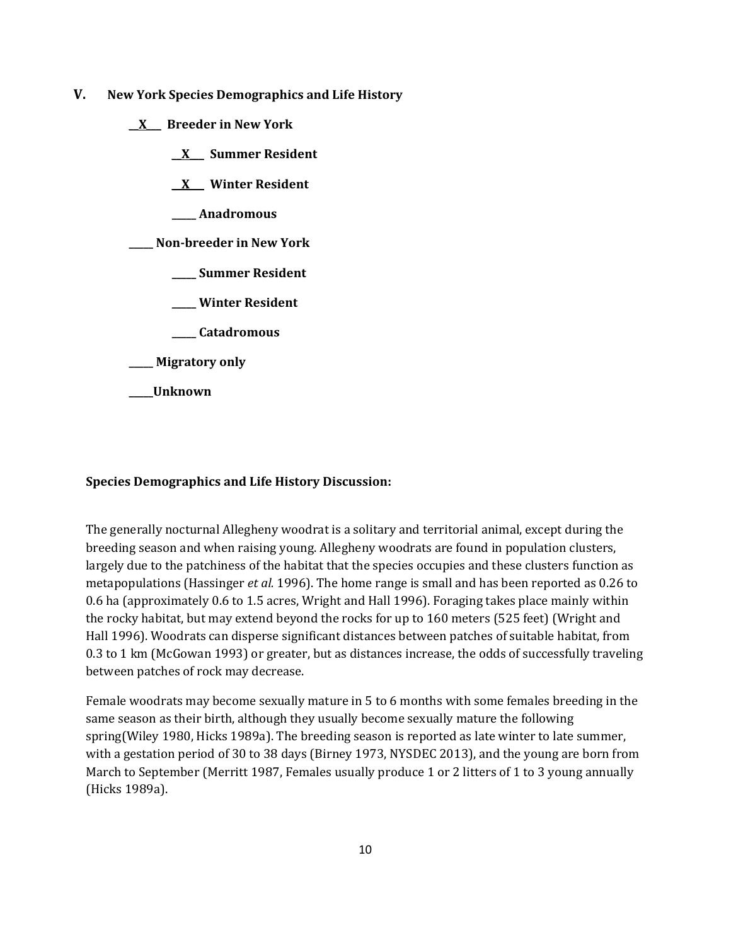- **V. New York Species Demographics and Life History**
	- \_\_**X**\_\_\_ **Breeder in New York**
		- \_\_**X**\_\_\_ **Summer Resident**
		- \_\_**X**\_\_\_ **Winter Resident**
		- **\_\_\_\_\_ Anadromous**
	- **\_\_\_\_\_ Non-breeder in New York**
		- **\_\_\_\_\_ Summer Resident**
		- **\_\_\_\_\_ Winter Resident**
		- **\_\_\_\_\_ Catadromous**
	- **\_\_\_\_\_ Migratory only**
	- **\_\_\_\_\_Unknown**

# **Species Demographics and Life History Discussion:**

The generally nocturnal Allegheny woodrat is a solitary and territorial animal, except during the breeding season and when raising young. Allegheny woodrats are found in population clusters, largely due to the patchiness of the habitat that the species occupies and these clusters function as metapopulations (Hassinger *et al.* 1996). The home range is small and has been reported as 0.26 to 0.6 ha (approximately 0.6 to 1.5 acres, Wright and Hall 1996). Foraging takes place mainly within the rocky habitat, but may extend beyond the rocks for up to 160 meters (525 feet) (Wright and Hall 1996). Woodrats can disperse significant distances between patches of suitable habitat, from 0.3 to 1 km (McGowan 1993) or greater, but as distances increase, the odds of successfully traveling between patches of rock may decrease.

Female woodrats may become sexually mature in 5 to 6 months with some females breeding in the same season as their birth, although they usually become sexually mature the following spring(Wiley 1980, Hicks 1989a). The breeding season is reported as late winter to late summer, with a gestation period of 30 to 38 days (Birney 1973, NYSDEC 2013), and the young are born from March to September (Merritt 1987, Females usually produce 1 or 2 litters of 1 to 3 young annually (Hicks 1989a).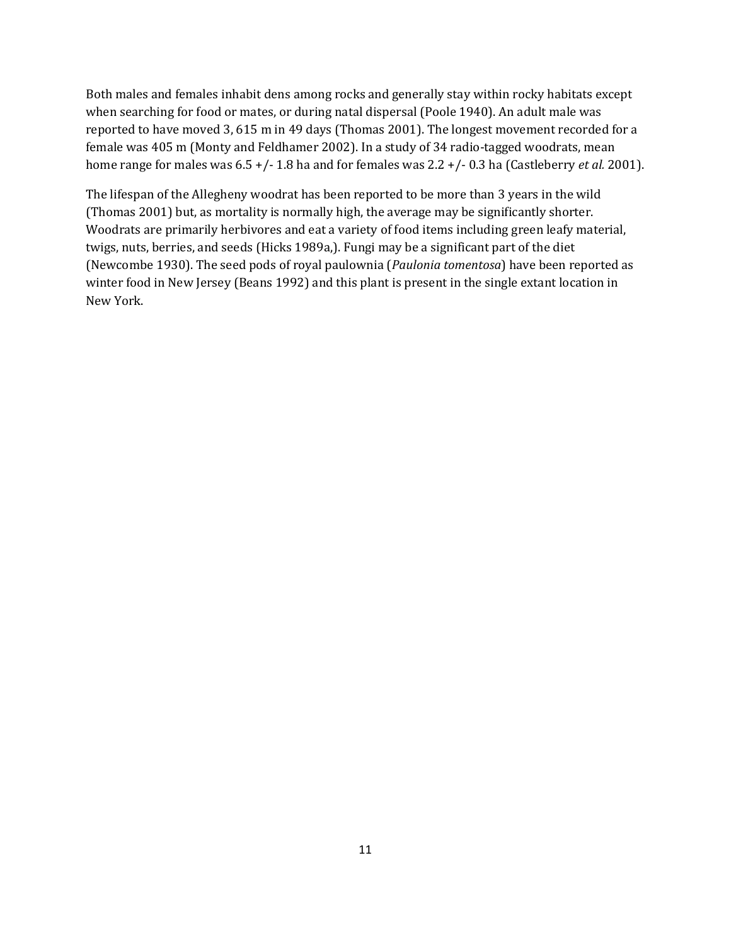Both males and females inhabit dens among rocks and generally stay within rocky habitats except when searching for food or mates, or during natal dispersal (Poole 1940). An adult male was reported to have moved 3, 615 m in 49 days (Thomas 2001). The longest movement recorded for a female was 405 m (Monty and Feldhamer 2002). In a study of 34 radio-tagged woodrats, mean home range for males was 6.5 +/- 1.8 ha and for females was 2.2 +/- 0.3 ha (Castleberry *et al.* 2001).

The lifespan of the Allegheny woodrat has been reported to be more than 3 years in the wild (Thomas 2001) but, as mortality is normally high, the average may be significantly shorter. Woodrats are primarily herbivores and eat a variety of food items including green leafy material, twigs, nuts, berries, and seeds (Hicks 1989a,). Fungi may be a significant part of the diet (Newcombe 1930). The seed pods of royal paulownia (*Paulonia tomentosa*) have been reported as winter food in New Jersey (Beans 1992) and this plant is present in the single extant location in New York.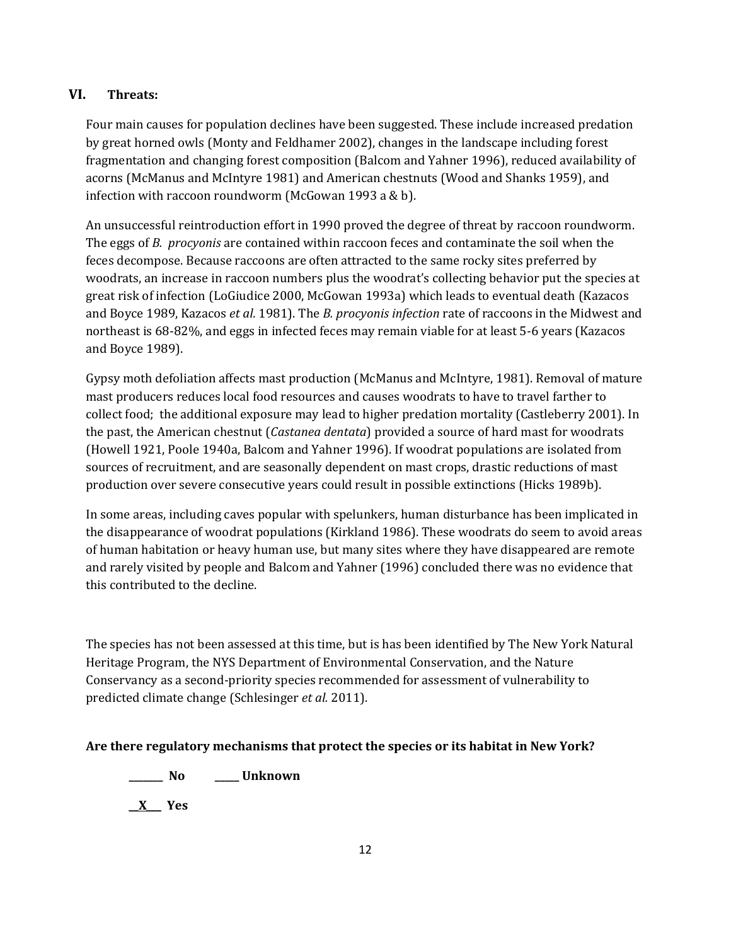# **VI. Threats:**

Four main causes for population declines have been suggested. These include increased predation by great horned owls (Monty and Feldhamer 2002), changes in the landscape including forest fragmentation and changing forest composition (Balcom and Yahner 1996), reduced availability of acorns (McManus and McIntyre 1981) and American chestnuts (Wood and Shanks 1959), and infection with raccoon roundworm (McGowan 1993 a & b).

An unsuccessful reintroduction effort in 1990 proved the degree of threat by raccoon roundworm. The eggs of *B. procyonis* are contained within raccoon feces and contaminate the soil when the feces decompose. Because raccoons are often attracted to the same rocky sites preferred by woodrats, an increase in raccoon numbers plus the woodrat's collecting behavior put the species at great risk of infection (LoGiudice 2000, McGowan 1993a) which leads to eventual death (Kazacos and Boyce 1989, Kazacos *et al.* 1981). The *B. procyonis infection* rate of raccoons in the Midwest and northeast is 68-82%, and eggs in infected feces may remain viable for at least 5-6 years (Kazacos and Boyce 1989).

Gypsy moth defoliation affects mast production (McManus and McIntyre, 1981). Removal of mature mast producers reduces local food resources and causes woodrats to have to travel farther to collect food; the additional exposure may lead to higher predation mortality (Castleberry 2001). In the past, the American chestnut (*Castanea dentata*) provided a source of hard mast for woodrats (Howell 1921, Poole 1940a, Balcom and Yahner 1996). If woodrat populations are isolated from sources of recruitment, and are seasonally dependent on mast crops, drastic reductions of mast production over severe consecutive years could result in possible extinctions (Hicks 1989b).

In some areas, including caves popular with spelunkers, human disturbance has been implicated in the disappearance of woodrat populations (Kirkland 1986). These woodrats do seem to avoid areas of human habitation or heavy human use, but many sites where they have disappeared are remote and rarely visited by people and Balcom and Yahner (1996) concluded there was no evidence that this contributed to the decline.

The species has not been assessed at this time, but is has been identified by The New York Natural Heritage Program, the NYS Department of Environmental Conservation, and the Nature Conservancy as a second-priority species recommended for assessment of vulnerability to predicted climate change (Schlesinger *et al.* 2011).

# **Are there regulatory mechanisms that protect the species or its habitat in New York?**

**\_\_\_\_\_\_\_ No \_\_\_\_\_ Unknown**

\_\_**X**\_\_\_ **Yes**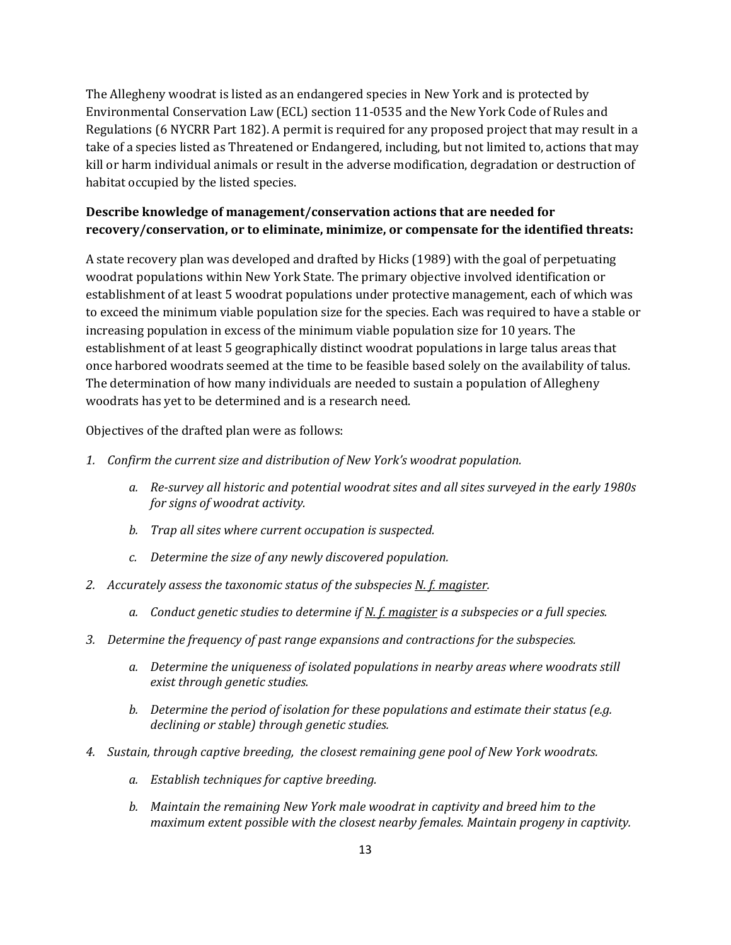The Allegheny woodrat is listed as an endangered species in New York and is protected by Environmental Conservation Law (ECL) section 11-0535 and the New York Code of Rules and Regulations (6 NYCRR Part 182). A permit is required for any proposed project that may result in a take of a species listed as Threatened or Endangered, including, but not limited to, actions that may kill or harm individual animals or result in the adverse modification, degradation or destruction of habitat occupied by the listed species.

# **Describe knowledge of management/conservation actions that are needed for recovery/conservation, or to eliminate, minimize, or compensate for the identified threats:**

A state recovery plan was developed and drafted by Hicks (1989) with the goal of perpetuating woodrat populations within New York State. The primary objective involved identification or establishment of at least 5 woodrat populations under protective management, each of which was to exceed the minimum viable population size for the species. Each was required to have a stable or increasing population in excess of the minimum viable population size for 10 years. The establishment of at least 5 geographically distinct woodrat populations in large talus areas that once harbored woodrats seemed at the time to be feasible based solely on the availability of talus. The determination of how many individuals are needed to sustain a population of Allegheny woodrats has yet to be determined and is a research need.

Objectives of the drafted plan were as follows:

- *1. Confirm the current size and distribution of New York's woodrat population.*
	- *a. Re-survey all historic and potential woodrat sites and all sites surveyed in the early 1980s for signs of woodrat activity.*
	- *b. Trap all sites where current occupation is suspected.*
	- *c. Determine the size of any newly discovered population.*
- *2. Accurately assess the taxonomic status of the subspecies N. f. magister.* 
	- *a. Conduct genetic studies to determine if N. f. magister is a subspecies or a full species.*
- *3. Determine the frequency of past range expansions and contractions for the subspecies.*
	- *a. Determine the uniqueness of isolated populations in nearby areas where woodrats still exist through genetic studies.*
	- *b. Determine the period of isolation for these populations and estimate their status (e.g. declining or stable) through genetic studies.*
- *4. Sustain, through captive breeding, the closest remaining gene pool of New York woodrats.*
	- *a. Establish techniques for captive breeding.*
	- *b. Maintain the remaining New York male woodrat in captivity and breed him to the maximum extent possible with the closest nearby females. Maintain progeny in captivity.*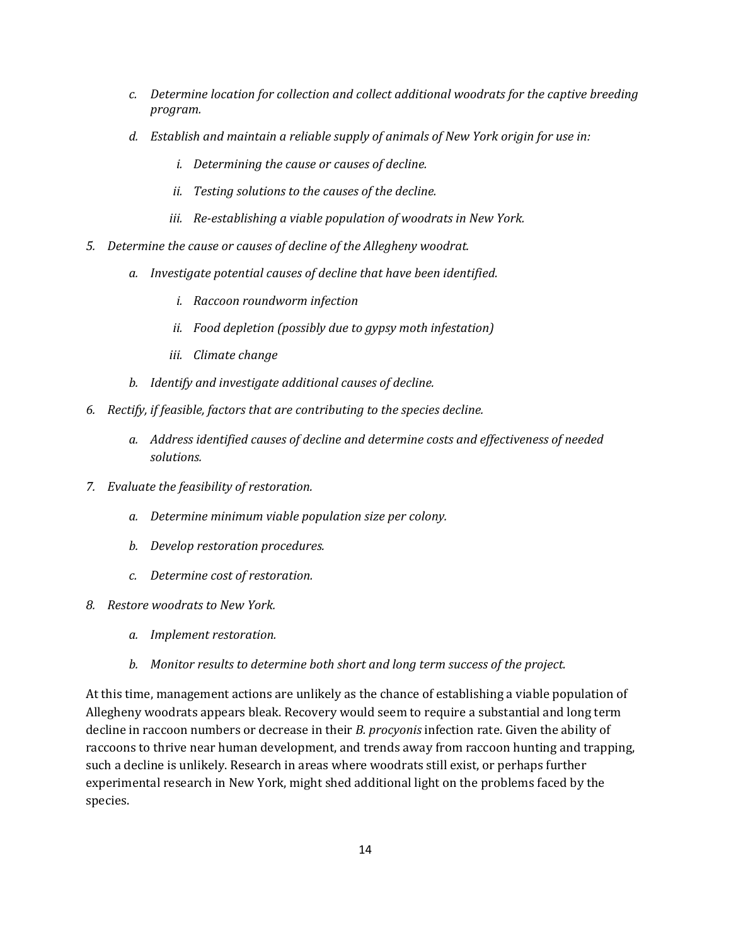- *c. Determine location for collection and collect additional woodrats for the captive breeding program.*
- *d. Establish and maintain a reliable supply of animals of New York origin for use in:*
	- *i. Determining the cause or causes of decline.*
	- *ii. Testing solutions to the causes of the decline.*
	- *iii. Re-establishing a viable population of woodrats in New York.*
- *5. Determine the cause or causes of decline of the Allegheny woodrat.*
	- *a. Investigate potential causes of decline that have been identified.*
		- *i. Raccoon roundworm infection*
		- *ii. Food depletion (possibly due to gypsy moth infestation)*
		- *iii. Climate change*
	- *b. Identify and investigate additional causes of decline.*
- *6. Rectify, if feasible, factors that are contributing to the species decline.*
	- *a. Address identified causes of decline and determine costs and effectiveness of needed solutions.*
- *7. Evaluate the feasibility of restoration.*
	- *a. Determine minimum viable population size per colony.*
	- *b. Develop restoration procedures.*
	- *c. Determine cost of restoration.*
- *8. Restore woodrats to New York.*
	- *a. Implement restoration.*
	- *b. Monitor results to determine both short and long term success of the project.*

At this time, management actions are unlikely as the chance of establishing a viable population of Allegheny woodrats appears bleak. Recovery would seem to require a substantial and long term decline in raccoon numbers or decrease in their *B. procyonis* infection rate. Given the ability of raccoons to thrive near human development, and trends away from raccoon hunting and trapping, such a decline is unlikely. Research in areas where woodrats still exist, or perhaps further experimental research in New York, might shed additional light on the problems faced by the species.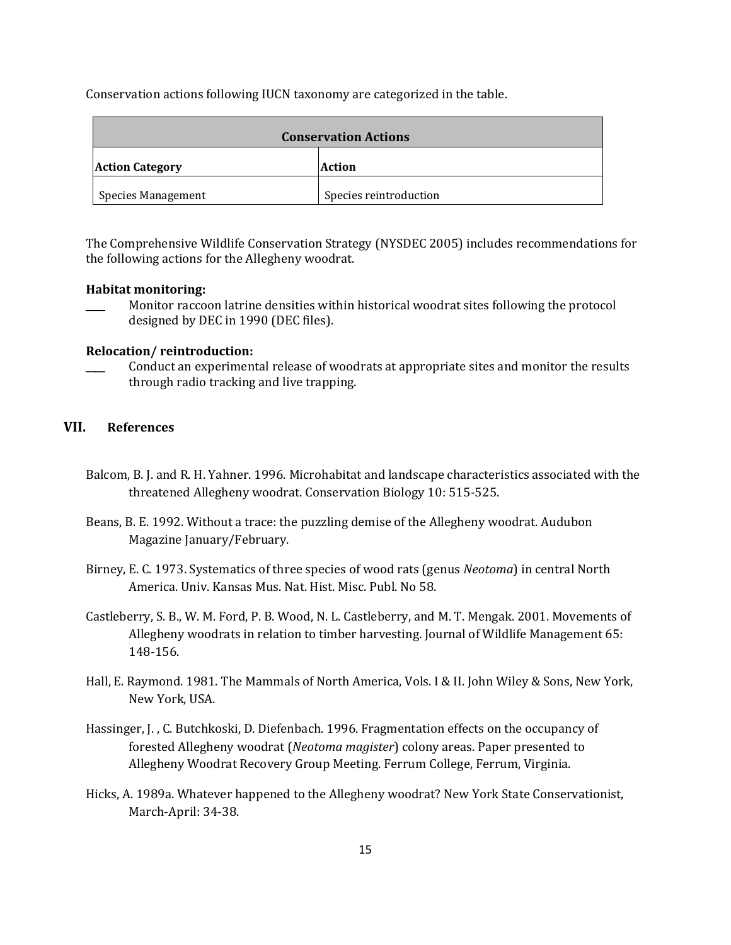Conservation actions following IUCN taxonomy are categorized in the table.

| <b>Conservation Actions</b>      |                        |
|----------------------------------|------------------------|
| <b>Action Category</b><br>Action |                        |
| <b>Species Management</b>        | Species reintroduction |

The Comprehensive Wildlife Conservation Strategy (NYSDEC 2005) includes recommendations for the following actions for the Allegheny woodrat.

### **Habitat monitoring:**

\_\_\_\_ Monitor raccoon latrine densities within historical woodrat sites following the protocol designed by DEC in 1990 (DEC files).

#### **Relocation/ reintroduction:**

Conduct an experimental release of woodrats at appropriate sites and monitor the results through radio tracking and live trapping.

# **VII. References**

- Balcom, B. J. and R. H. Yahner. 1996. Microhabitat and landscape characteristics associated with the threatened Allegheny woodrat. Conservation Biology 10: 515-525.
- Beans, B. E. 1992. Without a trace: the puzzling demise of the Allegheny woodrat. Audubon Magazine January/February.
- Birney, E. C. 1973. Systematics of three species of wood rats (genus *Neotoma*) in central North America. Univ. Kansas Mus. Nat. Hist. Misc. Publ. No 58.
- Castleberry, S. B., W. M. Ford, P. B. Wood, N. L. Castleberry, and M. T. Mengak. 2001. Movements of Allegheny woodrats in relation to timber harvesting. Journal of Wildlife Management 65: 148-156.
- Hall, E. Raymond. 1981. The Mammals of North America, Vols. I & II. John Wiley & Sons, New York, New York, USA.
- Hassinger, J. , C. Butchkoski, D. Diefenbach. 1996. Fragmentation effects on the occupancy of forested Allegheny woodrat (*Neotoma magister*) colony areas. Paper presented to Allegheny Woodrat Recovery Group Meeting. Ferrum College, Ferrum, Virginia.
- Hicks, A. 1989a. Whatever happened to the Allegheny woodrat? New York State Conservationist, March-April: 34-38.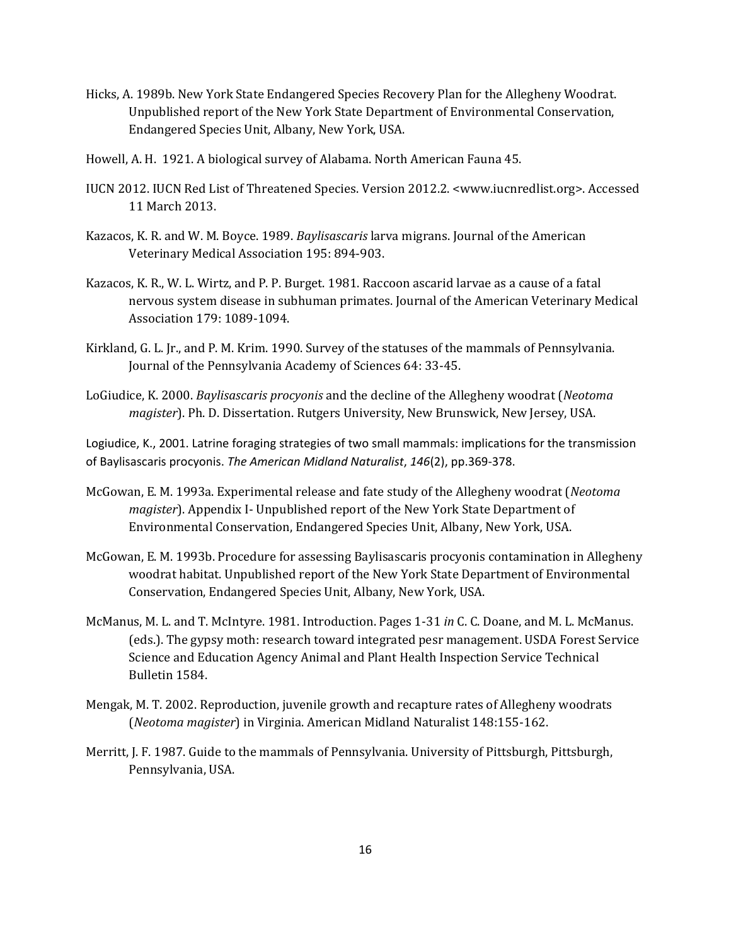- Hicks, A. 1989b. New York State Endangered Species Recovery Plan for the Allegheny Woodrat. Unpublished report of the New York State Department of Environmental Conservation, Endangered Species Unit, Albany, New York, USA.
- Howell, A. H. 1921. A biological survey of Alabama. North American Fauna 45.
- IUCN 2012. IUCN Red List of Threatened Species. Version 2012.2. <www.iucnredlist.org>. Accessed 11 March 2013.
- Kazacos, K. R. and W. M. Boyce. 1989. *Baylisascaris* larva migrans. Journal of the American Veterinary Medical Association 195: 894-903.
- Kazacos, K. R., W. L. Wirtz, and P. P. Burget. 1981. Raccoon ascarid larvae as a cause of a fatal nervous system disease in subhuman primates. Journal of the American Veterinary Medical Association 179: 1089-1094.
- Kirkland, G. L. Jr., and P. M. Krim. 1990. Survey of the statuses of the mammals of Pennsylvania. Journal of the Pennsylvania Academy of Sciences 64: 33-45.
- LoGiudice, K. 2000. *Baylisascaris procyonis* and the decline of the Allegheny woodrat (*Neotoma magister*). Ph. D. Dissertation. Rutgers University, New Brunswick, New Jersey, USA.

Logiudice, K., 2001. Latrine foraging strategies of two small mammals: implications for the transmission of Baylisascaris procyonis. *The American Midland Naturalist*, *146*(2), pp.369-378.

- McGowan, E. M. 1993a. Experimental release and fate study of the Allegheny woodrat (*Neotoma magister*). Appendix I- Unpublished report of the New York State Department of Environmental Conservation, Endangered Species Unit, Albany, New York, USA.
- McGowan, E. M. 1993b. Procedure for assessing Baylisascaris procyonis contamination in Allegheny woodrat habitat. Unpublished report of the New York State Department of Environmental Conservation, Endangered Species Unit, Albany, New York, USA.
- McManus, M. L. and T. McIntyre. 1981. Introduction. Pages 1-31 *in* C. C. Doane, and M. L. McManus. (eds.). The gypsy moth: research toward integrated pesr management. USDA Forest Service Science and Education Agency Animal and Plant Health Inspection Service Technical Bulletin 1584.
- Mengak, M. T. 2002. Reproduction, juvenile growth and recapture rates of Allegheny woodrats (*Neotoma magister*) in Virginia. American Midland Naturalist 148:155-162.
- Merritt, J. F. 1987. Guide to the mammals of Pennsylvania. University of Pittsburgh, Pittsburgh, Pennsylvania, USA.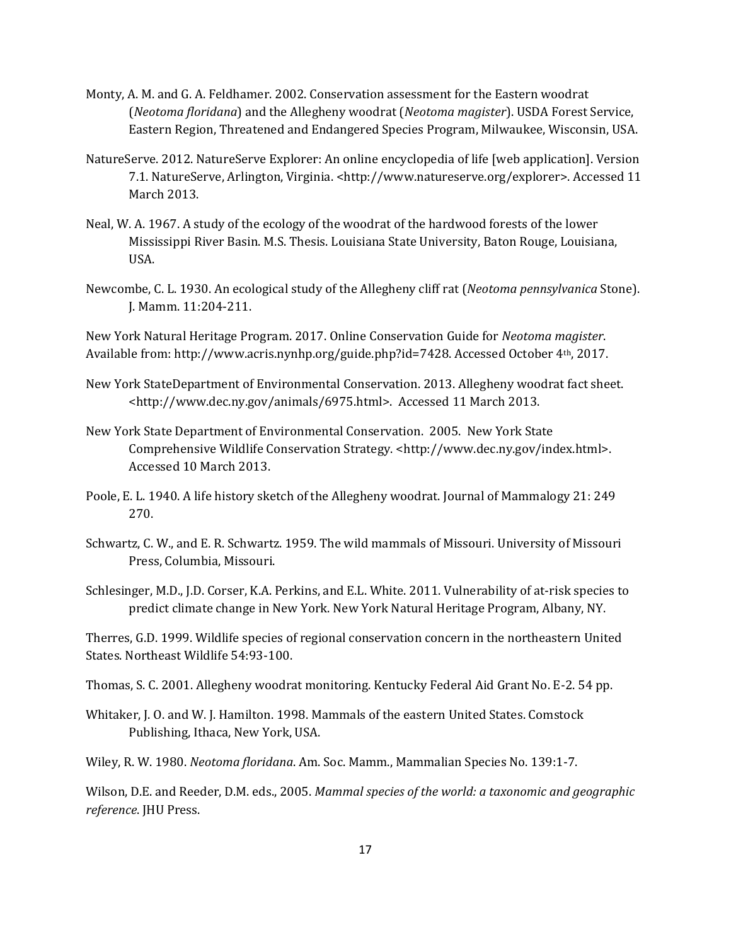- Monty, A. M. and G. A. Feldhamer. 2002. Conservation assessment for the Eastern woodrat (*Neotoma floridana*) and the Allegheny woodrat (*Neotoma magister*). USDA Forest Service, Eastern Region, Threatened and Endangered Species Program, Milwaukee, Wisconsin, USA.
- NatureServe. 2012. NatureServe Explorer: An online encyclopedia of life [web application]. Version 7.1. NatureServe, Arlington, Virginia. <http://www.natureserve.org/explorer>. Accessed 11 March 2013.
- Neal, W. A. 1967. A study of the ecology of the woodrat of the hardwood forests of the lower Mississippi River Basin. M.S. Thesis. Louisiana State University, Baton Rouge, Louisiana, USA.
- Newcombe, C. L. 1930. An ecological study of the Allegheny cliff rat (*Neotoma pennsylvanica* Stone). J. Mamm. 11:204-211.

New York Natural Heritage Program. 2017. Online Conservation Guide for *Neotoma magister*. Available from: http://www.acris.nynhp.org/guide.php?id=7428. Accessed October 4th, 2017.

- New York StateDepartment of Environmental Conservation. 2013. Allegheny woodrat fact sheet. <http://www.dec.ny.gov/animals/6975.html>. Accessed 11 March 2013.
- New York State Department of Environmental Conservation. 2005. New York State Comprehensive Wildlife Conservation Strategy. <http://www.dec.ny.gov/index.html>. Accessed 10 March 2013.
- Poole, E. L. 1940. A life history sketch of the Allegheny woodrat. Journal of Mammalogy 21: 249 270.
- Schwartz, C. W., and E. R. Schwartz. 1959. The wild mammals of Missouri. University of Missouri Press, Columbia, Missouri.
- Schlesinger, M.D., J.D. Corser, K.A. Perkins, and E.L. White. 2011. Vulnerability of at-risk species to predict climate change in New York. New York Natural Heritage Program, Albany, NY.

Therres, G.D. 1999. Wildlife species of regional conservation concern in the northeastern United States. Northeast Wildlife 54:93-100.

- Thomas, S. C. 2001. Allegheny woodrat monitoring. Kentucky Federal Aid Grant No. E-2. 54 pp.
- Whitaker, J. O. and W. J. Hamilton. 1998. Mammals of the eastern United States. Comstock Publishing, Ithaca, New York, USA.
- Wiley, R. W. 1980. *Neotoma floridana*. Am. Soc. Mamm., Mammalian Species No. 139:1-7.

Wilson, D.E. and Reeder, D.M. eds., 2005. *Mammal species of the world: a taxonomic and geographic reference*. JHU Press.